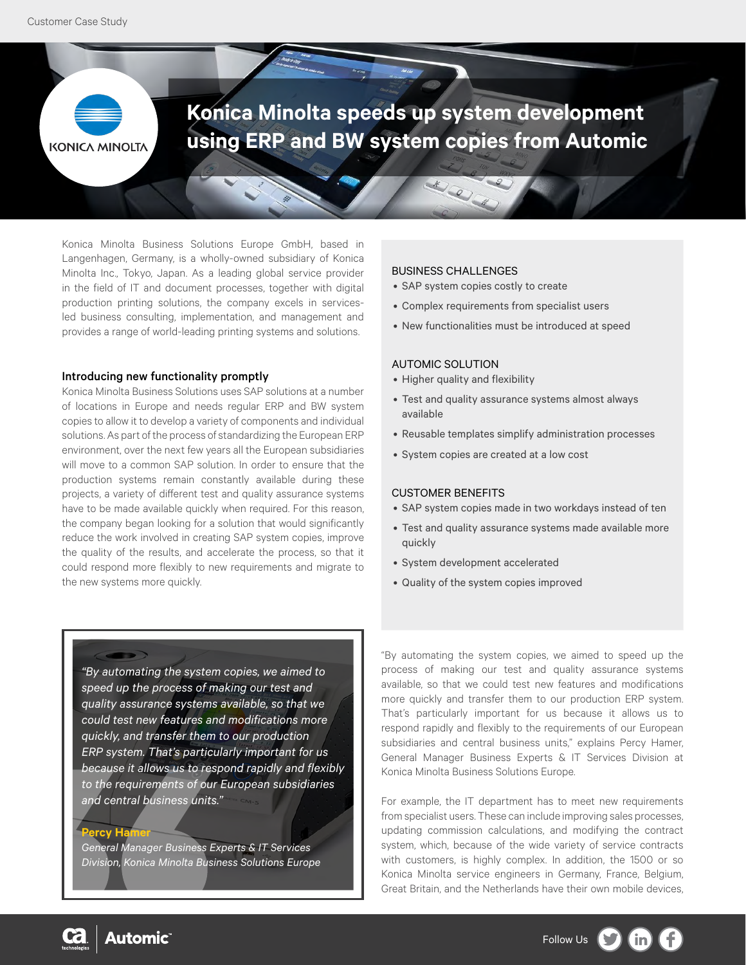

Konica Minolta Business Solutions Europe GmbH, based in Langenhagen, Germany, is a wholly-owned subsidiary of Konica Minolta Inc., Tokyo, Japan. As a leading global service provider in the field of IT and document processes, together with digital production printing solutions, the company excels in servicesled business consulting, implementation, and management and provides a range of world-leading printing systems and solutions.

#### Introducing new functionality promptly

Konica Minolta Business Solutions uses SAP solutions at a number of locations in Europe and needs regular ERP and BW system copies to allow it to develop a variety of components and individual solutions. As part of the process of standardizing the European ERP environment, over the next few years all the European subsidiaries will move to a common SAP solution. In order to ensure that the production systems remain constantly available during these projects, a variety of different test and quality assurance systems have to be made available quickly when required. For this reason, the company began looking for a solution that would significantly reduce the work involved in creating SAP system copies, improve the quality of the results, and accelerate the process, so that it could respond more flexibly to new requirements and migrate to the new systems more quickly.

## **BUSINESS CHALLENGES**

- SAP system copies costly to create
- Complex requirements from specialist users
- New functionalities must be introduced at speed

### AUTOMIC SOLUTION

- Higher quality and flexibility
- Test and quality assurance systems almost always available
- Reusable templates simplify administration processes
- System copies are created at a low cost

## CUSTOMER BENEFITS

- SAP system copies made in two workdays instead of ten
- Test and quality assurance systems made available more quickly
- System development accelerated
- Quality of the system copies improved

*"By automating the system copies, we aimed to speed up the process of making our test and quality assurance systems available, so that we could test new features and modifications more quickly, and transfer them to our production ERP system. That's particularly important for us because it allows us to respond rapidly and flexibly to the requirements of our European subsidiaries and central business units."* 

**Percy Hamer**

*General Manager Business Experts & IT Services Division, Konica Minolta Business Solutions Europe* "By automating the system copies, we aimed to speed up the process of making our test and quality assurance systems available, so that we could test new features and modifications more quickly and transfer them to our production ERP system. That's particularly important for us because it allows us to respond rapidly and flexibly to the requirements of our European subsidiaries and central business units," explains Percy Hamer, General Manager Business Experts & IT Services Division at Konica Minolta Business Solutions Europe.

For example, the IT department has to meet new requirements from specialist users. These can include improving sales processes, updating commission calculations, and modifying the contract system, which, because of the wide variety of service contracts with customers, is highly complex. In addition, the 1500 or so Konica Minolta service engineers in Germany, France, Belgium, Great Britain, and the Netherlands have their own mobile devices,

**Automic** 6